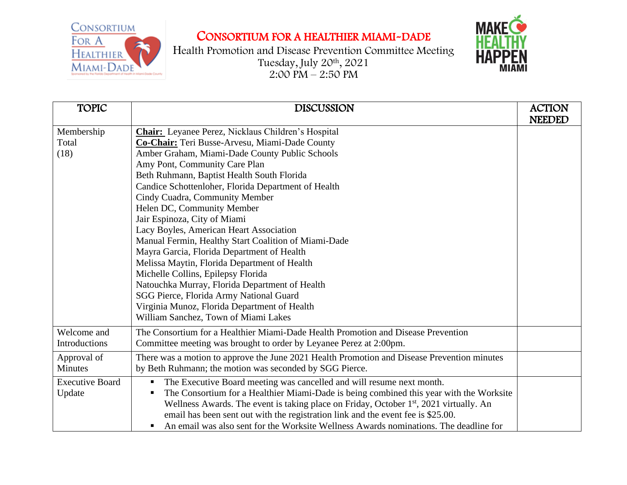CONSORTIUM FOR A HEALTHIER MIAMI-DADE



Health Promotion and Disease Prevention Committee Meeting Tuesday, July 20th , 2021 2:00 PM – 2:50 PM



| <b>TOPIC</b>           | <b>DISCUSSION</b>                                                                                  | <b>ACTION</b> |
|------------------------|----------------------------------------------------------------------------------------------------|---------------|
|                        |                                                                                                    | <b>NEEDED</b> |
| Membership             | Chair: Leyanee Perez, Nicklaus Children's Hospital                                                 |               |
| Total                  | Co-Chair: Teri Busse-Arvesu, Miami-Dade County                                                     |               |
| (18)                   | Amber Graham, Miami-Dade County Public Schools                                                     |               |
|                        | Amy Pont, Community Care Plan                                                                      |               |
|                        | Beth Ruhmann, Baptist Health South Florida                                                         |               |
|                        | Candice Schottenloher, Florida Department of Health                                                |               |
|                        | Cindy Cuadra, Community Member                                                                     |               |
|                        | Helen DC, Community Member                                                                         |               |
|                        | Jair Espinoza, City of Miami                                                                       |               |
|                        | Lacy Boyles, American Heart Association                                                            |               |
|                        | Manual Fermin, Healthy Start Coalition of Miami-Dade                                               |               |
|                        | Mayra Garcia, Florida Department of Health                                                         |               |
|                        | Melissa Maytin, Florida Department of Health                                                       |               |
|                        | Michelle Collins, Epilepsy Florida                                                                 |               |
|                        | Natouchka Murray, Florida Department of Health                                                     |               |
|                        | SGG Pierce, Florida Army National Guard                                                            |               |
|                        | Virginia Munoz, Florida Department of Health                                                       |               |
|                        | William Sanchez, Town of Miami Lakes                                                               |               |
| Welcome and            | The Consortium for a Healthier Miami-Dade Health Promotion and Disease Prevention                  |               |
| Introductions          | Committee meeting was brought to order by Leyanee Perez at 2:00pm.                                 |               |
| Approval of            | There was a motion to approve the June 2021 Health Promotion and Disease Prevention minutes        |               |
| <b>Minutes</b>         | by Beth Ruhmann; the motion was seconded by SGG Pierce.                                            |               |
| <b>Executive Board</b> | The Executive Board meeting was cancelled and will resume next month.                              |               |
| Update                 | The Consortium for a Healthier Miami-Dade is being combined this year with the Worksite            |               |
|                        | Wellness Awards. The event is taking place on Friday, October 1 <sup>st</sup> , 2021 virtually. An |               |
|                        | email has been sent out with the registration link and the event fee is \$25.00.                   |               |
|                        | An email was also sent for the Worksite Wellness Awards nominations. The deadline for              |               |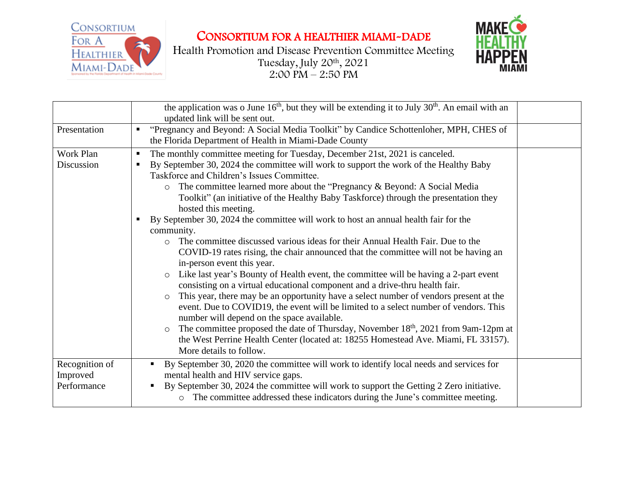

CONSORTIUM FOR A HEALTHIER MIAMI-DADE

Health Promotion and Disease Prevention Committee Meeting Tuesday, July 20th , 2021 2:00 PM – 2:50 PM



|                                           | the application was o June $16th$ , but they will be extending it to July $30th$ . An email with an<br>updated link will be sent out.                                                                                                                                                                                                                                                                                                                                                                                                                                                                                                                                                                                                                                                                                                                                                                                                                                                                                                                                                                                                                                                                                                                                                                                                                                                                                |
|-------------------------------------------|----------------------------------------------------------------------------------------------------------------------------------------------------------------------------------------------------------------------------------------------------------------------------------------------------------------------------------------------------------------------------------------------------------------------------------------------------------------------------------------------------------------------------------------------------------------------------------------------------------------------------------------------------------------------------------------------------------------------------------------------------------------------------------------------------------------------------------------------------------------------------------------------------------------------------------------------------------------------------------------------------------------------------------------------------------------------------------------------------------------------------------------------------------------------------------------------------------------------------------------------------------------------------------------------------------------------------------------------------------------------------------------------------------------------|
| Presentation                              | "Pregnancy and Beyond: A Social Media Toolkit" by Candice Schottenloher, MPH, CHES of<br>п.<br>the Florida Department of Health in Miami-Dade County                                                                                                                                                                                                                                                                                                                                                                                                                                                                                                                                                                                                                                                                                                                                                                                                                                                                                                                                                                                                                                                                                                                                                                                                                                                                 |
| Work Plan<br>Discussion                   | The monthly committee meeting for Tuesday, December 21st, 2021 is canceled.<br>п<br>By September 30, 2024 the committee will work to support the work of the Healthy Baby<br>Taskforce and Children's Issues Committee.<br>The committee learned more about the "Pregnancy & Beyond: A Social Media<br>$\circ$<br>Toolkit" (an initiative of the Healthy Baby Taskforce) through the presentation they<br>hosted this meeting.<br>By September 30, 2024 the committee will work to host an annual health fair for the<br>ш<br>community.<br>The committee discussed various ideas for their Annual Health Fair. Due to the<br>$\circ$<br>COVID-19 rates rising, the chair announced that the committee will not be having an<br>in-person event this year.<br>Like last year's Bounty of Health event, the committee will be having a 2-part event<br>$\circ$<br>consisting on a virtual educational component and a drive-thru health fair.<br>This year, there may be an opportunity have a select number of vendors present at the<br>$\circ$<br>event. Due to COVID19, the event will be limited to a select number of vendors. This<br>number will depend on the space available.<br>The committee proposed the date of Thursday, November 18 <sup>th</sup> , 2021 from 9am-12pm at<br>$\circ$<br>the West Perrine Health Center (located at: 18255 Homestead Ave. Miami, FL 33157).<br>More details to follow. |
| Recognition of<br>Improved<br>Performance | By September 30, 2020 the committee will work to identify local needs and services for<br>$\blacksquare$<br>mental health and HIV service gaps.<br>By September 30, 2024 the committee will work to support the Getting 2 Zero initiative.<br>o The committee addressed these indicators during the June's committee meeting.                                                                                                                                                                                                                                                                                                                                                                                                                                                                                                                                                                                                                                                                                                                                                                                                                                                                                                                                                                                                                                                                                        |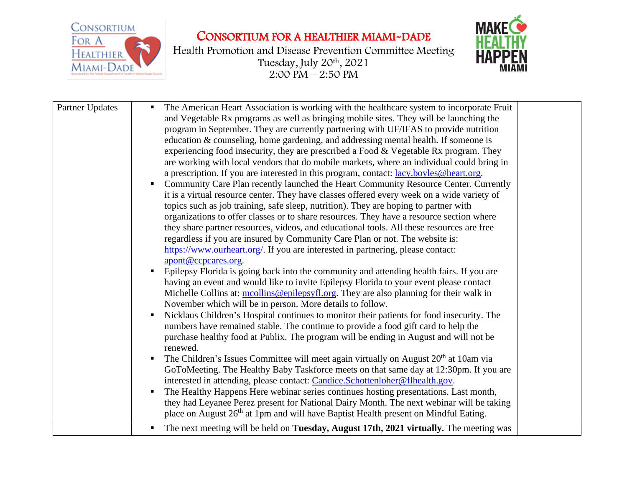

## CONSORTIUM FOR A HEALTHIER MIAMI-DADE

Health Promotion and Disease Prevention Committee Meeting Tuesday, July 20th , 2021 2:00 PM – 2:50 PM



| Partner Updates | The American Heart Association is working with the healthcare system to incorporate Fruit<br>and Vegetable Rx programs as well as bringing mobile sites. They will be launching the<br>program in September. They are currently partnering with UF/IFAS to provide nutrition<br>education & counseling, home gardening, and addressing mental health. If someone is<br>experiencing food insecurity, they are prescribed a Food & Vegetable Rx program. They<br>are working with local vendors that do mobile markets, where an individual could bring in<br>a prescription. If you are interested in this program, contact: lacy.boyles@heart.org.<br>Community Care Plan recently launched the Heart Community Resource Center. Currently<br>it is a virtual resource center. They have classes offered every week on a wide variety of<br>topics such as job training, safe sleep, nutrition). They are hoping to partner with<br>organizations to offer classes or to share resources. They have a resource section where<br>they share partner resources, videos, and educational tools. All these resources are free<br>regardless if you are insured by Community Care Plan or not. The website is:<br>https://www.ourheart.org/. If you are interested in partnering, please contact:<br>apont@ccpcares.org.<br>Epilepsy Florida is going back into the community and attending health fairs. If you are<br>having an event and would like to invite Epilepsy Florida to your event please contact<br>Michelle Collins at: mcollins@epilepsyfl.org. They are also planning for their walk in<br>November which will be in person. More details to follow.<br>Nicklaus Children's Hospital continues to monitor their patients for food insecurity. The<br>numbers have remained stable. The continue to provide a food gift card to help the<br>purchase healthy food at Publix. The program will be ending in August and will not be<br>renewed.<br>The Children's Issues Committee will meet again virtually on August 20 <sup>th</sup> at 10am via<br>п.<br>GoToMeeting. The Healthy Baby Taskforce meets on that same day at 12:30pm. If you are<br>interested in attending, please contact: Candice.Schottenloher@flhealth.gov.<br>The Healthy Happens Here webinar series continues hosting presentations. Last month,<br>they had Leyanee Perez present for National Dairy Month. The next webinar will be taking<br>place on August 26 <sup>th</sup> at 1pm and will have Baptist Health present on Mindful Eating. |  |
|-----------------|-------------------------------------------------------------------------------------------------------------------------------------------------------------------------------------------------------------------------------------------------------------------------------------------------------------------------------------------------------------------------------------------------------------------------------------------------------------------------------------------------------------------------------------------------------------------------------------------------------------------------------------------------------------------------------------------------------------------------------------------------------------------------------------------------------------------------------------------------------------------------------------------------------------------------------------------------------------------------------------------------------------------------------------------------------------------------------------------------------------------------------------------------------------------------------------------------------------------------------------------------------------------------------------------------------------------------------------------------------------------------------------------------------------------------------------------------------------------------------------------------------------------------------------------------------------------------------------------------------------------------------------------------------------------------------------------------------------------------------------------------------------------------------------------------------------------------------------------------------------------------------------------------------------------------------------------------------------------------------------------------------------------------------------------------------------------------------------------------------------------------------------------------------------------------------------------------------------------------------------------------------------------------------------------------------------------------------------------------------------------------------------------------------------------------------------------------------------------------------------------------------------------------------------|--|
|                 | The next meeting will be held on Tuesday, August 17th, 2021 virtually. The meeting was                                                                                                                                                                                                                                                                                                                                                                                                                                                                                                                                                                                                                                                                                                                                                                                                                                                                                                                                                                                                                                                                                                                                                                                                                                                                                                                                                                                                                                                                                                                                                                                                                                                                                                                                                                                                                                                                                                                                                                                                                                                                                                                                                                                                                                                                                                                                                                                                                                              |  |
|                 |                                                                                                                                                                                                                                                                                                                                                                                                                                                                                                                                                                                                                                                                                                                                                                                                                                                                                                                                                                                                                                                                                                                                                                                                                                                                                                                                                                                                                                                                                                                                                                                                                                                                                                                                                                                                                                                                                                                                                                                                                                                                                                                                                                                                                                                                                                                                                                                                                                                                                                                                     |  |